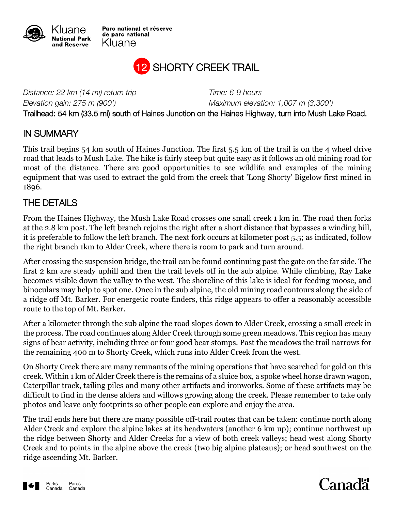

Parc national et réserve de parc national Kluane



*Distance: 22 km (14 mi) return trip Time: 6-9 hours*

*Elevation gain: 275 m (900') Maximum elevation: 1,007 m (3,300')*

Trailhead: 54 km (33.5 mi) south of Haines Junction on the Haines Highway, turn into Mush Lake Road.

## IN SUMMARY

This trail begins 54 km south of Haines Junction. The first 5.5 km of the trail is on the 4 wheel drive road that leads to Mush Lake. The hike is fairly steep but quite easy as it follows an old mining road for most of the distance. There are good opportunities to see wildlife and examples of the mining equipment that was used to extract the gold from the creek that 'Long Shorty' Bigelow first mined in 1896.

## THE DETAILS

From the Haines Highway, the Mush Lake Road crosses one small creek 1 km in. The road then forks at the 2.8 km post. The left branch rejoins the right after a short distance that bypasses a winding hill, it is preferable to follow the left branch. The next fork occurs at kilometer post 5.5; as indicated, follow the right branch 1km to Alder Creek, where there is room to park and turn around.

After crossing the suspension bridge, the trail can be found continuing past the gate on the far side. The first 2 km are steady uphill and then the trail levels off in the sub alpine. While climbing, Ray Lake becomes visible down the valley to the west. The shoreline of this lake is ideal for feeding moose, and binoculars may help to spot one. Once in the sub alpine, the old mining road contours along the side of a ridge off Mt. Barker. For energetic route finders, this ridge appears to offer a reasonably accessible route to the top of Mt. Barker.

After a kilometer through the sub alpine the road slopes down to Alder Creek, crossing a small creek in the process. The road continues along Alder Creek through some green meadows. This region has many signs of bear activity, including three or four good bear stomps. Past the meadows the trail narrows for the remaining 400 m to Shorty Creek, which runs into Alder Creek from the west.

On Shorty Creek there are many remnants of the mining operations that have searched for gold on this creek. Within 1 km of Alder Creek there is the remains of a sluice box, a spoke wheel horse drawn wagon, Caterpillar track, tailing piles and many other artifacts and ironworks. Some of these artifacts may be difficult to find in the dense alders and willows growing along the creek. Please remember to take only photos and leave only footprints so other people can explore and enjoy the area.

The trail ends here but there are many possible off-trail routes that can be taken: continue north along Alder Creek and explore the alpine lakes at its headwaters (another 6 km up); continue northwest up the ridge between Shorty and Alder Creeks for a view of both creek valleys; head west along Shorty Creek and to points in the alpine above the creek (two big alpine plateaus); or head southwest on the ridge ascending Mt. Barker.



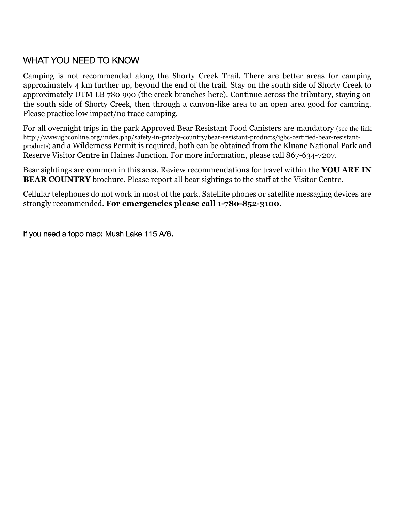## WHAT YOU NEED TO KNOW

Camping is not recommended along the Shorty Creek Trail. There are better areas for camping approximately 4 km further up, beyond the end of the trail. Stay on the south side of Shorty Creek to approximately UTM LB 780 990 (the creek branches here). Continue across the tributary, staying on the south side of Shorty Creek, then through a canyon-like area to an open area good for camping. Please practice low impact/no trace camping.

For all overnight trips in the park Approved Bear Resistant Food Canisters are mandatory (see the link http://www.igbconline.org/index.php/safety-in-grizzly-country/bear-resistant-products/igbc-certified-bear-resistantproducts) and a Wilderness Permit is required, both can be obtained from the Kluane National Park and Reserve Visitor Centre in Haines Junction. For more information, please call 867-634-7207.

Bear sightings are common in this area. Review recommendations for travel within the **YOU ARE IN BEAR COUNTRY** brochure. Please report all bear sightings to the staff at the Visitor Centre.

Cellular telephones do not work in most of the park. Satellite phones or satellite messaging devices are strongly recommended. **For emergencies please call 1-780-852-3100.**

If you need a topo map: Mush Lake 115 A/6.